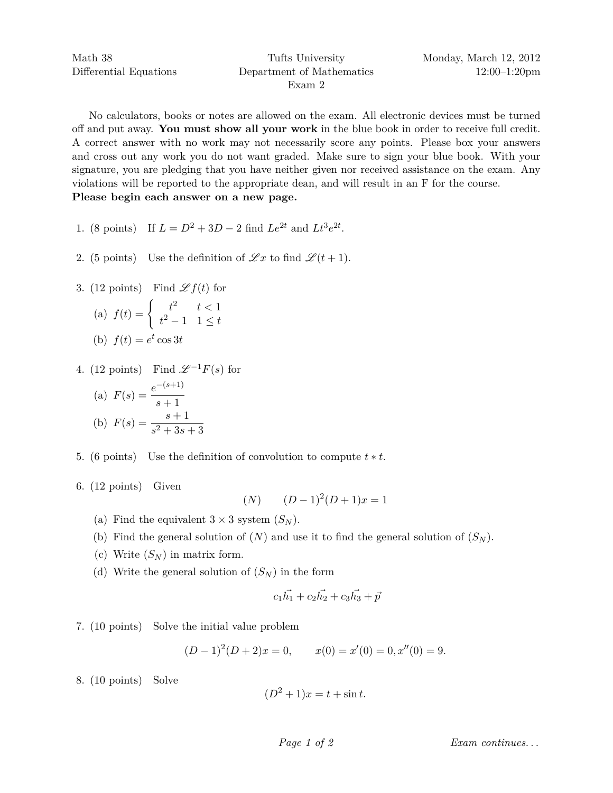No calculators, books or notes are allowed on the exam. All electronic devices must be turned off and put away. **You must show all your work** in the blue book in order to receive full credit. A correct answer with no work may not necessarily score any points. Please box your answers and cross out any work you do not want graded. Make sure to sign your blue book. With your signature, you are pledging that you have neither given nor received assistance on the exam. Any violations will be reported to the appropriate dean, and will result in an F for the course. **Please begin each answer on a new page.**

- 1. (8 points) If  $L = D^2 + 3D 2$  find  $Le^{2t}$  and  $Lt^3e^{2t}$ .
- 2. (5 points) Use the definition of  $\mathscr{L}x$  to find  $\mathscr{L}(t+1)$ .
- 3. (12 points) Find  $\mathscr{L} f(t)$  for

(a) 
$$
f(t) = \begin{cases} t^2 & t < 1 \\ t^2 - 1 & 1 \le t \end{cases}
$$
  
(b)  $f(t) = e^t \cos 3t$ 

4. (12 points) Find  $\mathscr{L}^{-1}F(s)$  for

(a) 
$$
F(s) = \frac{e^{-(s+1)}}{s+1}
$$
  
\n(b)  $F(s) = \frac{s+1}{s^2+3s+3}$ 

- 5. (6 points) Use the definition of convolution to compute  $t * t$ .
- 6. (12 points) Given

$$
(N) \qquad (D-1)^2(D+1)x = 1
$$

- (a) Find the equivalent  $3 \times 3$  system  $(S_N)$ .
- (b) Find the general solution of  $(N)$  and use it to find the general solution of  $(S_N)$ .
- (c) Write  $(S_N)$  in matrix form.
- (d) Write the general solution of  $(S_N)$  in the form

$$
c_1 \vec{h_1} + c_2 \vec{h_2} + c_3 \vec{h_3} + \vec{p}
$$

7. (10 points) Solve the initial value problem

$$
(D-1)2(D+2)x = 0, \t x(0) = x'(0) = 0, x''(0) = 9.
$$

8. (10 points) Solve

$$
(D2 + 1)x = t + \sin t.
$$